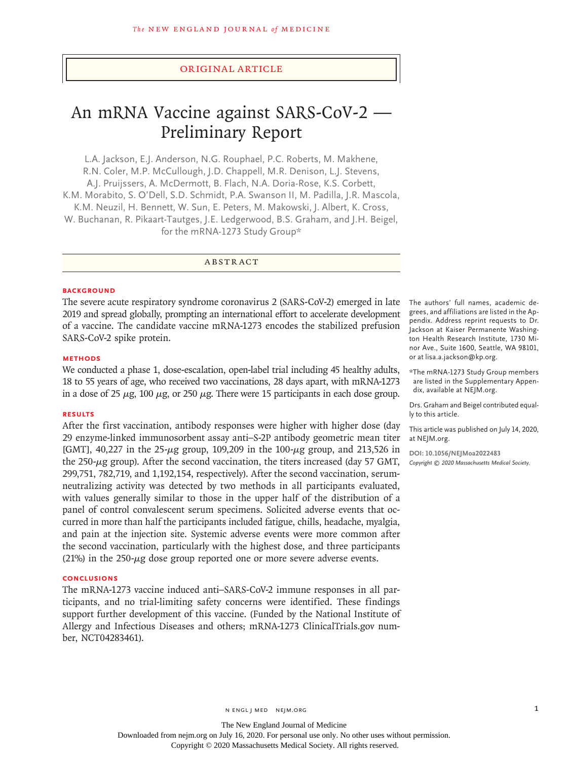## Original Article

# An mRNA Vaccine against SARS-CoV-2 — Preliminary Report

L.A. Jackson, E.J. Anderson, N.G. Rouphael, P.C. Roberts, M. Makhene, R.N. Coler, M.P. McCullough, J.D. Chappell, M.R. Denison, L.J. Stevens, A.J. Pruijssers, A. McDermott, B. Flach, N.A. Doria-Rose, K.S. Corbett, K.M. Morabito, S. O'Dell, S.D. Schmidt, P.A. Swanson II, M. Padilla, J.R. Mascola, K.M. Neuzil, H. Bennett, W. Sun, E. Peters, M. Makowski, J. Albert, K. Cross, W. Buchanan, R. Pikaart-Tautges, J.E. Ledgerwood, B.S. Graham, and J.H. Beigel, for the mRNA-1273 Study Group\*

ABSTRACT

#### **BACKGROUND**

The severe acute respiratory syndrome coronavirus 2 (SARS-CoV-2) emerged in late 2019 and spread globally, prompting an international effort to accelerate development of a vaccine. The candidate vaccine mRNA-1273 encodes the stabilized prefusion SARS-CoV-2 spike protein.

#### **METHODS**

We conducted a phase 1, dose-escalation, open-label trial including 45 healthy adults, 18 to 55 years of age, who received two vaccinations, 28 days apart, with mRNA-1273 in a dose of 25  $\mu$ g, 100  $\mu$ g, or 250  $\mu$ g. There were 15 participants in each dose group.

#### **RESULTS**

After the first vaccination, antibody responses were higher with higher dose (day 29 enzyme-linked immunosorbent assay anti–S-2P antibody geometric mean titer [GMT], 40,227 in the 25-μg group, 109,209 in the 100-μg group, and 213,526 in the 250-μg group). After the second vaccination, the titers increased (day 57 GMT, 299,751, 782,719, and 1,192,154, respectively). After the second vaccination, serumneutralizing activity was detected by two methods in all participants evaluated, with values generally similar to those in the upper half of the distribution of a panel of control convalescent serum specimens. Solicited adverse events that occurred in more than half the participants included fatigue, chills, headache, myalgia, and pain at the injection site. Systemic adverse events were more common after the second vaccination, particularly with the highest dose, and three participants (21%) in the 250- $\mu$ g dose group reported one or more severe adverse events.

## **CONCLUSIONS**

The mRNA-1273 vaccine induced anti–SARS-CoV-2 immune responses in all participants, and no trial-limiting safety concerns were identified. These findings support further development of this vaccine. (Funded by the National Institute of Allergy and Infectious Diseases and others; mRNA-1273 ClinicalTrials.gov number, NCT04283461).

The authors' full names, academic degrees, and affiliations are listed in the Appendix. Address reprint requests to Dr. Jackson at Kaiser Permanente Washington Health Research Institute, 1730 Minor Ave., Suite 1600, Seattle, WA 98101, or at lisa.a.jackson@kp.org.

\*The mRNA-1273 Study Group members are listed in the Supplementary Appendix, available at NEJM.org.

Drs. Graham and Beigel contributed equally to this article.

This article was published on July 14, 2020, at NEJM.org.

**DOI: 10.1056/NEJMoa2022483** *Copyright © 2020 Massachusetts Medical Society.*

The New England Journal of Medicine Downloaded from nejm.org on July 16, 2020. For personal use only. No other uses without permission. Copyright © 2020 Massachusetts Medical Society. All rights reserved.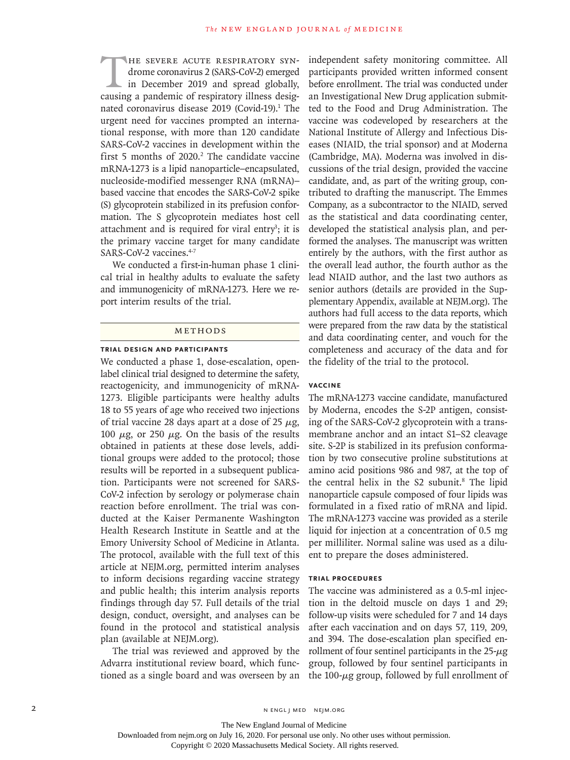HE SEVERE ACUTE RESPIRATORY SYN-<br>drome coronavirus 2 (SARS-CoV-2) emerged<br>in December 2019 and spread globally,<br>causing a pandemic of respiratory illness desigdrome coronavirus 2 (SARS-CoV-2) emerged in December 2019 and spread globally, causing a pandemic of respiratory illness designated coronavirus disease 2019 (Covid-19).<sup>1</sup> The urgent need for vaccines prompted an international response, with more than 120 candidate SARS-CoV-2 vaccines in development within the first 5 months of  $2020$ .<sup>2</sup> The candidate vaccine mRNA-1273 is a lipid nanoparticle–encapsulated, nucleoside-modified messenger RNA (mRNA)– based vaccine that encodes the SARS-CoV-2 spike (S) glycoprotein stabilized in its prefusion conformation. The S glycoprotein mediates host cell attachment and is required for viral entry<sup>3</sup>; it is the primary vaccine target for many candidate SARS-CoV-2 vaccines.<sup>4-7</sup>

We conducted a first-in-human phase 1 clinical trial in healthy adults to evaluate the safety and immunogenicity of mRNA-1273. Here we report interim results of the trial.

#### Methods

## **Trial Design and Participants**

We conducted a phase 1, dose-escalation, openlabel clinical trial designed to determine the safety, reactogenicity, and immunogenicity of mRNA-1273. Eligible participants were healthy adults 18 to 55 years of age who received two injections of trial vaccine 28 days apart at a dose of 25  $\mu$ g, 100  $\mu$ g, or 250  $\mu$ g. On the basis of the results obtained in patients at these dose levels, additional groups were added to the protocol; those results will be reported in a subsequent publication. Participants were not screened for SARS-CoV-2 infection by serology or polymerase chain reaction before enrollment. The trial was conducted at the Kaiser Permanente Washington Health Research Institute in Seattle and at the Emory University School of Medicine in Atlanta. The protocol, available with the full text of this article at NEJM.org, permitted interim analyses to inform decisions regarding vaccine strategy and public health; this interim analysis reports findings through day 57. Full details of the trial design, conduct, oversight, and analyses can be found in the protocol and statistical analysis plan (available at NEJM.org).

The trial was reviewed and approved by the Advarra institutional review board, which functioned as a single board and was overseen by an independent safety monitoring committee. All participants provided written informed consent before enrollment. The trial was conducted under an Investigational New Drug application submitted to the Food and Drug Administration. The vaccine was codeveloped by researchers at the National Institute of Allergy and Infectious Diseases (NIAID, the trial sponsor) and at Moderna (Cambridge, MA). Moderna was involved in discussions of the trial design, provided the vaccine candidate, and, as part of the writing group, contributed to drafting the manuscript. The Emmes Company, as a subcontractor to the NIAID, served as the statistical and data coordinating center, developed the statistical analysis plan, and performed the analyses. The manuscript was written entirely by the authors, with the first author as the overall lead author, the fourth author as the lead NIAID author, and the last two authors as senior authors (details are provided in the Supplementary Appendix, available at NEJM.org). The authors had full access to the data reports, which were prepared from the raw data by the statistical and data coordinating center, and vouch for the completeness and accuracy of the data and for the fidelity of the trial to the protocol.

## **Vaccine**

The mRNA-1273 vaccine candidate, manufactured by Moderna, encodes the S-2P antigen, consisting of the SARS-CoV-2 glycoprotein with a transmembrane anchor and an intact S1–S2 cleavage site. S-2P is stabilized in its prefusion conformation by two consecutive proline substitutions at amino acid positions 986 and 987, at the top of the central helix in the S2 subunit.<sup>8</sup> The lipid nanoparticle capsule composed of four lipids was formulated in a fixed ratio of mRNA and lipid. The mRNA-1273 vaccine was provided as a sterile liquid for injection at a concentration of 0.5 mg per milliliter. Normal saline was used as a diluent to prepare the doses administered.

## **Trial Procedures**

The vaccine was administered as a 0.5-ml injection in the deltoid muscle on days 1 and 29; follow-up visits were scheduled for 7 and 14 days after each vaccination and on days 57, 119, 209, and 394. The dose-escalation plan specified enrollment of four sentinel participants in the  $25-\mu g$ group, followed by four sentinel participants in the 100-μg group, followed by full enrollment of

Downloaded from nejm.org on July 16, 2020. For personal use only. No other uses without permission.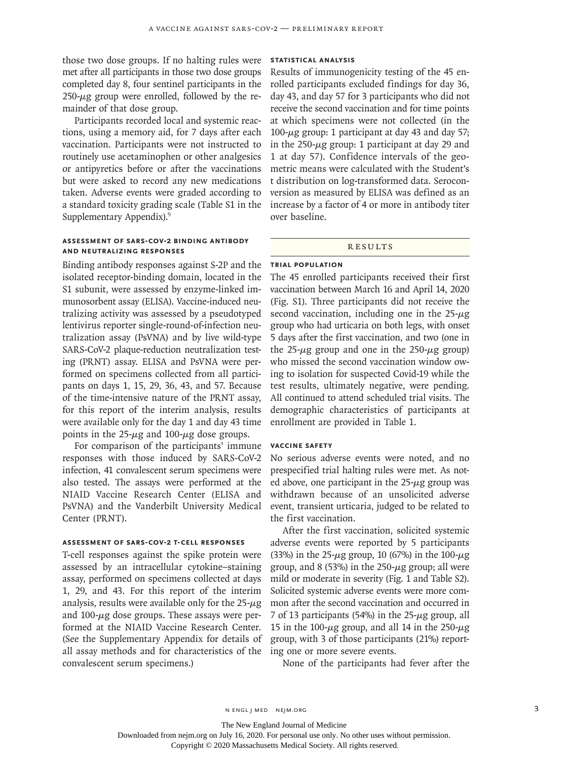those two dose groups. If no halting rules were met after all participants in those two dose groups completed day 8, four sentinel participants in the  $250 - \mu$ g group were enrolled, followed by the remainder of that dose group.

Participants recorded local and systemic reactions, using a memory aid, for 7 days after each vaccination. Participants were not instructed to routinely use acetaminophen or other analgesics or antipyretics before or after the vaccinations but were asked to record any new medications taken. Adverse events were graded according to a standard toxicity grading scale (Table S1 in the Supplementary Appendix).9

## **Assessment of SARS-CoV-2 Binding Antibody and Neutralizing Responses**

Binding antibody responses against S-2P and the isolated receptor-binding domain, located in the S1 subunit, were assessed by enzyme-linked immunosorbent assay (ELISA). Vaccine-induced neutralizing activity was assessed by a pseudotyped lentivirus reporter single-round-of-infection neutralization assay (PsVNA) and by live wild-type SARS-CoV-2 plaque-reduction neutralization testing (PRNT) assay. ELISA and PsVNA were performed on specimens collected from all participants on days 1, 15, 29, 36, 43, and 57. Because of the time-intensive nature of the PRNT assay, for this report of the interim analysis, results were available only for the day 1 and day 43 time points in the  $25-\mu g$  and  $100-\mu g$  dose groups.

For comparison of the participants' immune responses with those induced by SARS-CoV-2 infection, 41 convalescent serum specimens were also tested. The assays were performed at the NIAID Vaccine Research Center (ELISA and PsVNA) and the Vanderbilt University Medical Center (PRNT).

#### **Assessment of SARS-CoV-2 T-Cell Responses**

T-cell responses against the spike protein were assessed by an intracellular cytokine–staining assay, performed on specimens collected at days 1, 29, and 43. For this report of the interim analysis, results were available only for the  $25-\mu g$ and  $100$ - $\mu$ g dose groups. These assays were performed at the NIAID Vaccine Research Center. (See the Supplementary Appendix for details of all assay methods and for characteristics of the convalescent serum specimens.)

## **Statistical Analysis**

Results of immunogenicity testing of the 45 enrolled participants excluded findings for day 36, day 43, and day 57 for 3 participants who did not receive the second vaccination and for time points at which specimens were not collected (in the 100- $μ$ g group: 1 participant at day 43 and day 57; in the  $250-\mu g$  group: 1 participant at day 29 and 1 at day 57). Confidence intervals of the geometric means were calculated with the Student's t distribution on log-transformed data. Seroconversion as measured by ELISA was defined as an increase by a factor of 4 or more in antibody titer over baseline.

#### **RESULTS**

## **Trial Population**

The 45 enrolled participants received their first vaccination between March 16 and April 14, 2020 (Fig. S1). Three participants did not receive the second vaccination, including one in the  $25-\mu g$ group who had urticaria on both legs, with onset 5 days after the first vaccination, and two (one in the 25- $\mu$ g group and one in the 250- $\mu$ g group) who missed the second vaccination window owing to isolation for suspected Covid-19 while the test results, ultimately negative, were pending. All continued to attend scheduled trial visits. The demographic characteristics of participants at enrollment are provided in Table 1.

#### **Vaccine Safety**

No serious adverse events were noted, and no prespecified trial halting rules were met. As noted above, one participant in the  $25-\mu$ g group was withdrawn because of an unsolicited adverse event, transient urticaria, judged to be related to the first vaccination.

After the first vaccination, solicited systemic adverse events were reported by 5 participants (33%) in the 25- $\mu$ g group, 10 (67%) in the 100- $\mu$ g group, and 8 (53%) in the  $250 - \mu$ g group; all were mild or moderate in severity (Fig. 1 and Table S2). Solicited systemic adverse events were more common after the second vaccination and occurred in 7 of 13 participants (54%) in the  $25-\mu g$  group, all 15 in the 100- $\mu$ g group, and all 14 in the 250- $\mu$ g group, with 3 of those participants (21%) reporting one or more severe events.

None of the participants had fever after the

The New England Journal of Medicine

Downloaded from nejm.org on July 16, 2020. For personal use only. No other uses without permission.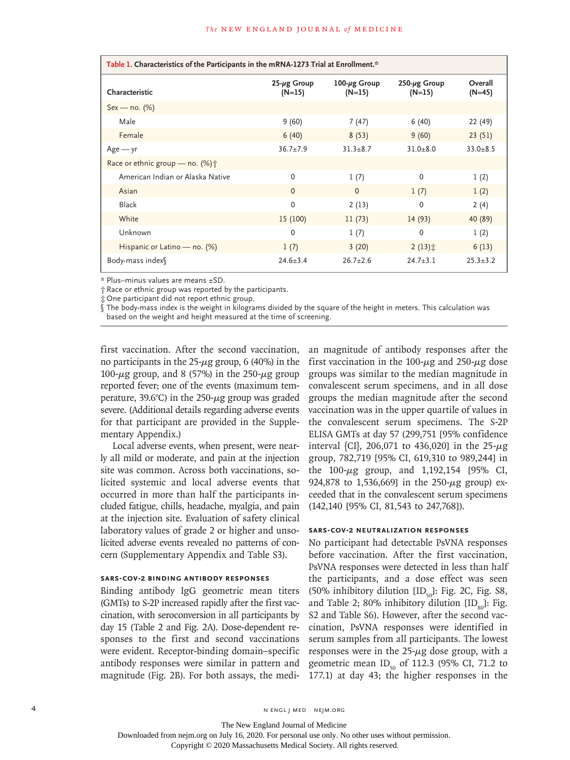| Table 1. Characteristics of the Participants in the mRNA-1273 Trial at Enrollment.* |                                |                                 |                                 |                     |
|-------------------------------------------------------------------------------------|--------------------------------|---------------------------------|---------------------------------|---------------------|
| Characteristic                                                                      | $25 - \mu g$ Group<br>$(N=15)$ | $100 - \mu g$ Group<br>$(N=15)$ | $250 - \mu g$ Group<br>$(N=15)$ | Overall<br>$(N=45)$ |
| $Sex - no. (%)$                                                                     |                                |                                 |                                 |                     |
| Male                                                                                | 9(60)                          | 7(47)                           | 6(40)                           | 22 (49)             |
| Female                                                                              | 6(40)                          | 8(53)                           | 9(60)                           | 23(51)              |
| $Age - yr$                                                                          | $36.7 \pm 7.9$                 | $31.3 + 8.7$                    | $31.0 + 8.0$                    | $33.0 + 8.5$        |
| Race or ethnic group – no. $(\%) \uparrow$                                          |                                |                                 |                                 |                     |
| American Indian or Alaska Native                                                    | $\Omega$                       | 1(7)                            | $\Omega$                        | 1(2)                |
| Asian                                                                               | $\Omega$                       | $\Omega$                        | 1(7)                            | 1(2)                |
| <b>Black</b>                                                                        | $\Omega$                       | 2(13)                           | 0                               | 2(4)                |
| White                                                                               | 15 (100)                       | 11(73)                          | 14(93)                          | 40 (89)             |
| Unknown                                                                             | $\mathbf{0}$                   | 1(7)                            | 0                               | 1(2)                |
| Hispanic or Latino - no. (%)                                                        | 1(7)                           | 3(20)                           | $2(13)$ $\pm$                   | 6(13)               |
| Body-mass index                                                                     | $24.6 + 3.4$                   | $26.7 + 2.6$                    | $24.7 + 3.1$                    | $25.3 \pm 3.2$      |

\* Plus–minus values are means ±SD.

† Race or ethnic group was reported by the participants.

One participant did not report ethnic group.

The body-mass index is the weight in kilograms divided by the square of the height in meters. This calculation was based on the weight and height measured at the time of screening.

first vaccination. After the second vaccination, no participants in the  $25-\mu g$  group, 6 (40%) in the 100-μg group, and 8 (57%) in the 250-μg group reported fever; one of the events (maximum temperature, 39.6°C) in the 250- $\mu$ g group was graded severe. (Additional details regarding adverse events for that participant are provided in the Supplementary Appendix.)

Local adverse events, when present, were nearly all mild or moderate, and pain at the injection site was common. Across both vaccinations, solicited systemic and local adverse events that occurred in more than half the participants included fatigue, chills, headache, myalgia, and pain at the injection site. Evaluation of safety clinical laboratory values of grade 2 or higher and unsolicited adverse events revealed no patterns of concern (Supplementary Appendix and Table S3).

# **SARS-CoV-2 Binding Antibody Responses**

Binding antibody IgG geometric mean titers (GMTs) to S-2P increased rapidly after the first vaccination, with seroconversion in all participants by day 15 (Table 2 and Fig. 2A). Dose-dependent responses to the first and second vaccinations were evident. Receptor-binding domain–specific antibody responses were similar in pattern and magnitude (Fig. 2B). For both assays, the median magnitude of antibody responses after the first vaccination in the 100- $\mu$ g and 250- $\mu$ g dose groups was similar to the median magnitude in convalescent serum specimens, and in all dose groups the median magnitude after the second vaccination was in the upper quartile of values in the convalescent serum specimens. The S-2P ELISA GMTs at day 57 (299,751 [95% confidence interval {CI}, 206,071 to 436,020] in the  $25-\mu g$ group, 782,719 [95% CI, 619,310 to 989,244] in the 100-μg group, and 1,192,154 [95% CI, 924,878 to 1,536,669] in the 250-μg group) exceeded that in the convalescent serum specimens (142,140 [95% CI, 81,543 to 247,768]).

## **SARS-CoV-2 Neutralization Responses**

No participant had detectable PsVNA responses before vaccination. After the first vaccination, PsVNA responses were detected in less than half the participants, and a dose effect was seen (50% inhibitory dilution  $[ID_{50}]$ : Fig. 2C, Fig. S8, and Table 2; 80% inhibitory dilution  $[ID_{\infty}]$ : Fig. S2 and Table S6). However, after the second vaccination, PsVNA responses were identified in serum samples from all participants. The lowest responses were in the  $25-\mu g$  dose group, with a geometric mean ID<sub>50</sub> of 112.3 (95% CI, 71.2 to 177.1) at day 43; the higher responses in the

4 n engl j med nejm.org nejm.org neighborhood in the negative media in the negative media in the negative media in the negative media in the negative media in the negative media in the negative media in the negative media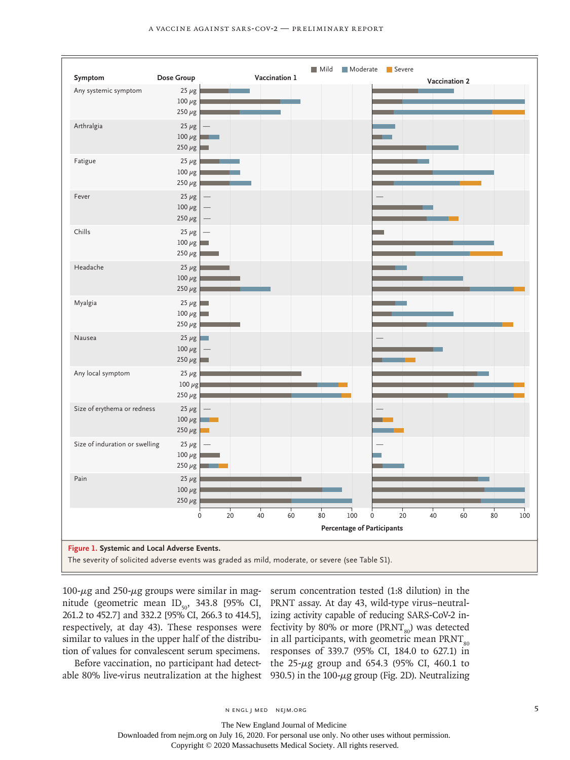

 $100 - \mu$ g and  $250 - \mu$ g groups were similar in magnitude (geometric mean  $ID_{50}$ , 343.8 [95% CI, 261.2 to 452.7] and 332.2 [95% CI, 266.3 to 414.5], respectively, at day 43). These responses were similar to values in the upper half of the distribution of values for convalescent serum specimens.

serum concentration tested (1:8 dilution) in the PRNT assay. At day 43, wild-type virus–neutralizing activity capable of reducing SARS-CoV-2 infectivity by 80% or more ( $\text{PRNT}_{\text{so}}$ ) was detected in all participants, with geometric mean  $\text{PRNT}_{\text{so}}$ responses of 339.7 (95% CI, 184.0 to 627.1) in the 25-μg group and 654.3 (95% CI, 460.1 to 930.5) in the  $100$ - $\mu$ g group (Fig. 2D). Neutralizing

Before vaccination, no participant had detectable 80% live-virus neutralization at the highest

The New England Journal of Medicine Downloaded from nejm.org on July 16, 2020. For personal use only. No other uses without permission.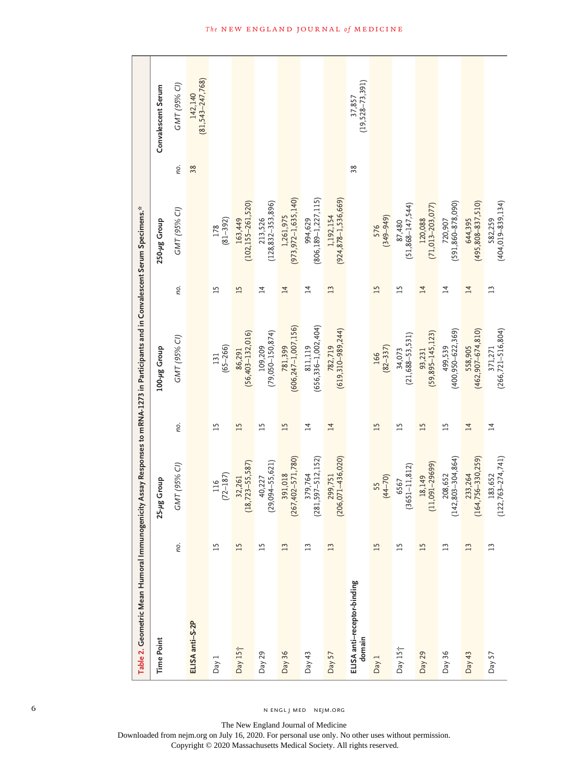| Table 2. Geometric Mean Humoral Immunogenicity Assay Responses to mRNA-1273 in Participants and in Convalescent Serum Specimens.* |                 |                                  |                 |                                  |                 |                                    |     |                               |
|-----------------------------------------------------------------------------------------------------------------------------------|-----------------|----------------------------------|-----------------|----------------------------------|-----------------|------------------------------------|-----|-------------------------------|
| <b>Time Point</b>                                                                                                                 |                 | 25-µg Group                      |                 | 100-µg Group                     |                 | 250-µg Group                       |     | Convalescent Serum            |
|                                                                                                                                   | no.             | GMT (95% CI)                     | пo.             | GMT (95% CI)                     | no.             | GMT (95% CI)                       | no. | GMT (95% CI)                  |
| ELISA anti-S-2P                                                                                                                   |                 |                                  |                 |                                  |                 |                                    | 38  | $142,140$<br>(81,543-247,768) |
| Day 1                                                                                                                             | $\overline{15}$ | $116$<br>(72–187)                | $\overline{15}$ | $131$<br>(65-266)                | $\overline{15}$ | $178$<br>(81-392)                  |     |                               |
| Day 15 <sup>+</sup>                                                                                                               | 15              | $32,261$<br>(18,723-55,587)      | $\overline{15}$ | $86,291$<br>(56,403–132,016)     | $\overline{15}$ | 163,449<br>(102,155–261,520)       |     |                               |
| Day $29$                                                                                                                          | $\overline{15}$ | $40,227$<br>(29,094-55,621)      | $\overline{1}$  | 109,209<br>(79,050–150,874)      | $\overline{1}$  | 213,526<br>(128,832–353,896)       |     |                               |
| Day 36                                                                                                                            | 13              | 391,018<br>(267,402–571,780)     | $\overline{15}$ | 781,399<br>(606,247–1,007,156)   | $\overline{1}$  | 1,261,975<br>(973,972–1,635,140)   |     |                               |
| Day 43                                                                                                                            | $\overline{13}$ | $379,764$<br>(281,597–512,152)   | $\overline{1}$  | $811,119$<br>(656,336-1,002,404) | $\overline{1}$  | 994,629<br>(806,189–1,227,115)     |     |                               |
| Day 57                                                                                                                            | 13              | 299,751<br>(206,071–436,020)     | $\overline{14}$ | 782,719<br>(619,310–989,244)     | 13              | 1,192,154<br>(924,878–1,536,669)   |     |                               |
| ELISA anti-receptor-binding<br>domain                                                                                             |                 |                                  |                 |                                  |                 |                                    | 38  | $37,857$<br>(19,528–73,391)   |
| Day 1                                                                                                                             | $\overline{15}$ | $\frac{55}{(44-70)}$             | $\overline{15}$ | $166$<br>(82-337)                | 15              | 576<br>(349–949)                   |     |                               |
| Day 15 <sup>+</sup>                                                                                                               | $\overline{15}$ | 6567<br>(3651–11,812)            | $\overline{15}$ | $34,073$<br>(21,688-53,531)      | $\overline{15}$ | $87,480$<br>(51,868-147,544)       |     |                               |
| Day 29                                                                                                                            | $\overline{15}$ | 18,149<br>(11,091–29699)         | 15              | $93,231$<br>(59,895-145,123)     | $\overline{14}$ | $\frac{120,088}{(71,013-203,077)}$ |     |                               |
| Day 36                                                                                                                            | $\overline{13}$ | 208,652<br>(142,803–304,864)     | $\overline{15}$ | 499,539<br>(400,950–622,369)     | $\overline{1}$  | 720,907<br>(591,860–878,090)       |     |                               |
| Day $43$                                                                                                                          | $\overline{13}$ | 233,264<br>(164,756–330,259)     | $\overline{1}$  | 558,905<br>(462,907–674,810)     | 14              | 644,395<br>(495,808–837,510)       |     |                               |
| Day 57                                                                                                                            | $\overline{13}$ | $183,652$<br>$(122,763-274,741)$ | $\overline{1}$  | 371,271<br>(266,721–516,804)     | $\overline{13}$ | 582,259<br>(404,019–839,134)       |     |                               |

6 N ENGL J MED NEJM.ORG

The New England Journal of Medicine

Downloaded from nejm.org on July 16, 2020. For personal use only. No other uses without permission.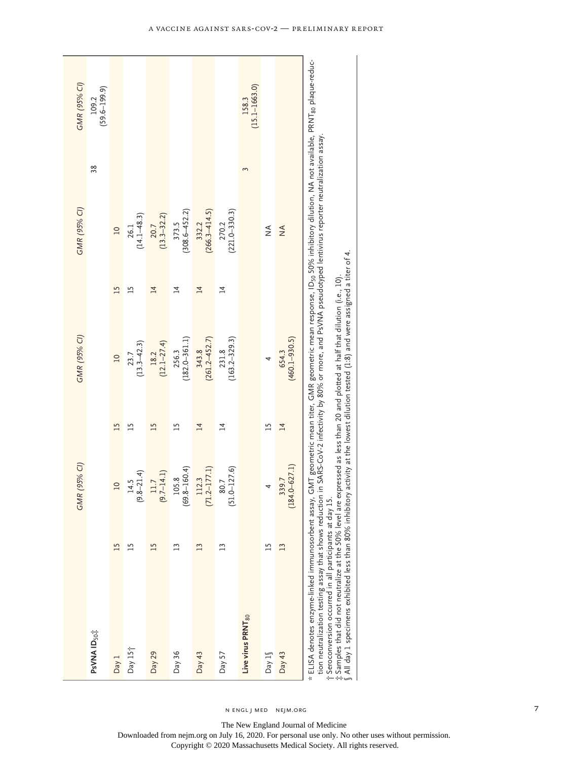|                                                                                                                                                                                                                                                                                                                                                                                                                                                                                                                                                                                                                                                                                                                | GMR (95% CI)              |                 | GMR (95% CI)               |                 | GMR (95% CI)               |    | GMR (95% CI)               |
|----------------------------------------------------------------------------------------------------------------------------------------------------------------------------------------------------------------------------------------------------------------------------------------------------------------------------------------------------------------------------------------------------------------------------------------------------------------------------------------------------------------------------------------------------------------------------------------------------------------------------------------------------------------------------------------------------------------|---------------------------|-----------------|----------------------------|-----------------|----------------------------|----|----------------------------|
| PsVNA ID <sub>50</sub> #                                                                                                                                                                                                                                                                                                                                                                                                                                                                                                                                                                                                                                                                                       |                           |                 |                            |                 |                            | 38 | $(59.6 - 199.9)$<br>109.2  |
| 15<br>Day 1                                                                                                                                                                                                                                                                                                                                                                                                                                                                                                                                                                                                                                                                                                    | $\overline{a}$            | 15              | $\overline{a}$             | 15              | $\overline{10}$            |    |                            |
| $^{15}$<br>Day $15+$                                                                                                                                                                                                                                                                                                                                                                                                                                                                                                                                                                                                                                                                                           | $(9.8 - 21.4)$<br>14.5    | $\overline{15}$ | $(13.3 - 42.3)$<br>23.7    | $\overline{15}$ | $(14.1 - 48.3)$<br>26.1    |    |                            |
| 15<br>Day 29                                                                                                                                                                                                                                                                                                                                                                                                                                                                                                                                                                                                                                                                                                   | $(9.7 - 14.1)$<br>11.7    | $\overline{15}$ | $18.2$<br>(12.1-27.4)      | $\overline{14}$ | $20.7$<br>(13.3–32.2)      |    |                            |
| $\overline{13}$<br>Day $36$                                                                                                                                                                                                                                                                                                                                                                                                                                                                                                                                                                                                                                                                                    | $(69.8 - 160.4)$<br>105.8 | $\overline{1}$  | $(182.0 - 361.1)$<br>256.3 | 14              | $(308.6 - 452.2)$<br>373.5 |    |                            |
| 13<br>Day $43$                                                                                                                                                                                                                                                                                                                                                                                                                                                                                                                                                                                                                                                                                                 | $(71.2 - 177.1)$<br>112.3 | $\overline{1}$  | $(261.2 - 452.7)$<br>343.8 | $\overline{14}$ | $(266.3 - 414.5)$<br>332.2 |    |                            |
| $\overline{13}$<br>Day 57                                                                                                                                                                                                                                                                                                                                                                                                                                                                                                                                                                                                                                                                                      | $(51.0 - 127.6)$<br>80.7  | $\overline{4}$  | $(163.2 - 329.3)$<br>231.8 | $\overline{1}$  | $(221.0 - 330.3)$<br>270.2 |    |                            |
| Live virus PRNT <sub>80</sub>                                                                                                                                                                                                                                                                                                                                                                                                                                                                                                                                                                                                                                                                                  |                           |                 |                            |                 |                            |    | $(15.1 - 1663.0)$<br>158.3 |
| $\overline{15}$<br>Day $1\sqrt$                                                                                                                                                                                                                                                                                                                                                                                                                                                                                                                                                                                                                                                                                |                           | $\overline{1}$  | 4                          |                 | $\frac{4}{2}$              |    |                            |
| 13<br>Day $43$                                                                                                                                                                                                                                                                                                                                                                                                                                                                                                                                                                                                                                                                                                 | $184.0 - 627.1$<br>339.7  | $\overline{14}$ | $(460.1 - 930.5)$<br>654.3 |                 | $\frac{4}{2}$              |    |                            |
| * ELISA denotes enzyme-linked immunosorbent assay, GMT geometric mean titer, GMR geometric mean response, ID <sub>so</sub> 50% inhibitory dilution, NA not available, PRNT <sub>80</sub> plaque-reduc-<br>tion neutralization testing assay that shows reduction in SARS-CoV-2 infectivity by 80% or more, and PsVNA pseudotyped lentivirus reporter neutralization assay.<br>All day 1 specimens exhibited less than 80% inhibitory activity at the lowest dilution tested (1.8) and were assigned a titer of 4.<br>: Samples that did not neutralize at the 50% level are expressed as less than 20 and plotted at half that dilution (i.e., 10).<br>t Seroconversion occurred in all participants at day 15 |                           |                 |                            |                 |                            |    |                            |

n engl j med nejm.org

The New England Journal of Medicine

Downloaded from nejm.org on July 16, 2020. For personal use only. No other uses without permission.

7

Copyright © 2020 Massachusetts Medical Society. All rights reserved.

A Vaccine against SARS-CoV-2 — Preliminary Report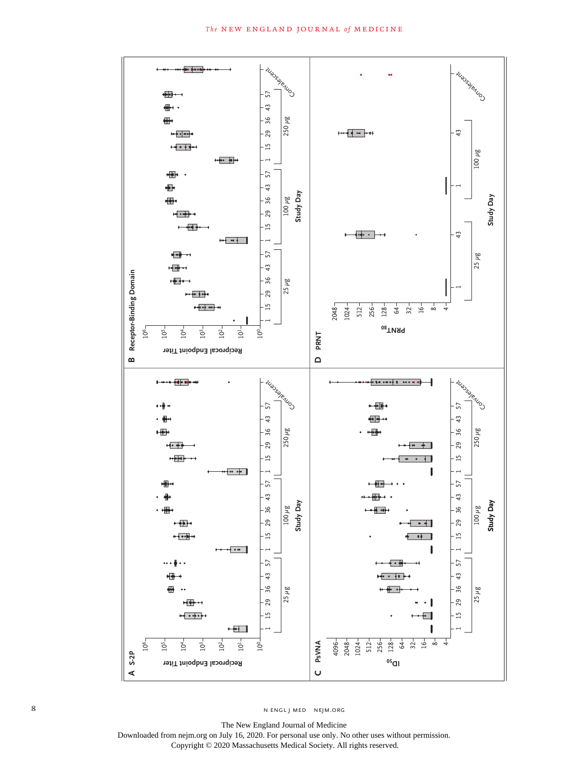

The New England Journal of Medicine Downloaded from nejm.org on July 16, 2020. For personal use only. No other uses without permission. Copyright © 2020 Massachusetts Medical Society. All rights reserved.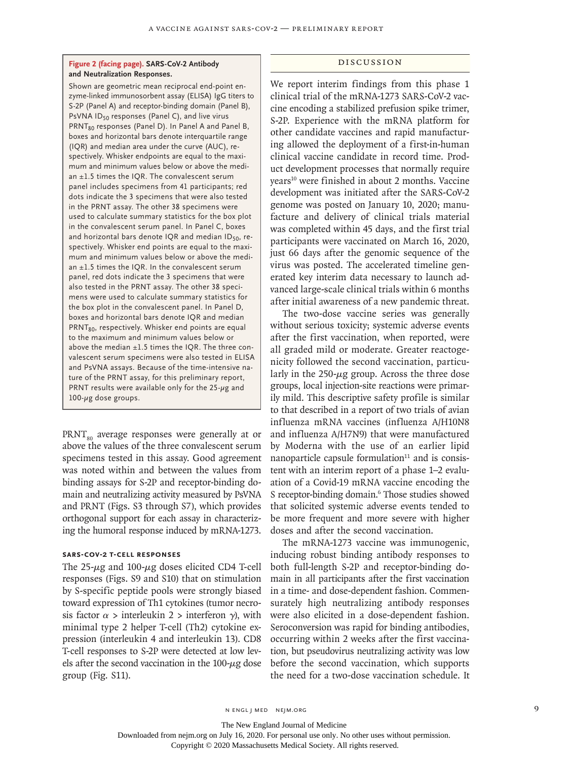## **Figure 2 (facing page). SARS-CoV-2 Antibody and Neutralization Responses.**

Shown are geometric mean reciprocal end-point enzyme-linked immunosorbent assay (ELISA) IgG titers to S-2P (Panel A) and receptor-binding domain (Panel B), PsVNA ID<sub>50</sub> responses (Panel C), and live virus PRNT<sub>80</sub> responses (Panel D). In Panel A and Panel B, boxes and horizontal bars denote interquartile range (IQR) and median area under the curve (AUC), respectively. Whisker endpoints are equal to the maximum and minimum values below or above the median ±1.5 times the IQR. The convalescent serum panel includes specimens from 41 participants; red dots indicate the 3 specimens that were also tested in the PRNT assay. The other 38 specimens were used to calculate summary statistics for the box plot in the convalescent serum panel. In Panel C, boxes and horizontal bars denote IQR and median ID<sub>50</sub>, respectively. Whisker end points are equal to the maximum and minimum values below or above the median  $\pm 1.5$  times the IQR. In the convalescent serum panel, red dots indicate the 3 specimens that were also tested in the PRNT assay. The other 38 specimens were used to calculate summary statistics for the box plot in the convalescent panel. In Panel D, boxes and horizontal bars denote IQR and median PRNT<sub>80</sub>, respectively. Whisker end points are equal to the maximum and minimum values below or above the median  $\pm 1.5$  times the IQR. The three convalescent serum specimens were also tested in ELISA and PsVNA assays. Because of the time-intensive nature of the PRNT assay, for this preliminary report, PRNT results were available only for the  $25-\mu g$  and 100-μg dose groups.

 $PRNT<sub>oo</sub>$  average responses were generally at or above the values of the three convalescent serum specimens tested in this assay. Good agreement was noted within and between the values from binding assays for S-2P and receptor-binding domain and neutralizing activity measured by PsVNA and PRNT (Figs. S3 through S7), which provides orthogonal support for each assay in characterizing the humoral response induced by mRNA-1273.

## **SARS-CoV-2 T-Cell Responses**

The  $25-\mu$ g and  $100-\mu$ g doses elicited CD4 T-cell responses (Figs. S9 and S10) that on stimulation by S-specific peptide pools were strongly biased toward expression of Th1 cytokines (tumor necrosis factor  $\alpha$  > interleukin 2 > interferon  $\gamma$ ), with minimal type 2 helper T-cell (Th2) cytokine expression (interleukin 4 and interleukin 13). CD8 T-cell responses to S-2P were detected at low levels after the second vaccination in the  $100-\mu$ g dose group (Fig. S11).

## Discussion

We report interim findings from this phase 1 clinical trial of the mRNA-1273 SARS-CoV-2 vaccine encoding a stabilized prefusion spike trimer, S-2P. Experience with the mRNA platform for other candidate vaccines and rapid manufacturing allowed the deployment of a first-in-human clinical vaccine candidate in record time. Product development processes that normally require years<sup>10</sup> were finished in about 2 months. Vaccine development was initiated after the SARS-CoV-2 genome was posted on January 10, 2020; manufacture and delivery of clinical trials material was completed within 45 days, and the first trial participants were vaccinated on March 16, 2020, just 66 days after the genomic sequence of the virus was posted. The accelerated timeline generated key interim data necessary to launch advanced large-scale clinical trials within 6 months after initial awareness of a new pandemic threat.

The two-dose vaccine series was generally without serious toxicity; systemic adverse events after the first vaccination, when reported, were all graded mild or moderate. Greater reactogenicity followed the second vaccination, particularly in the  $250 - \mu g$  group. Across the three dose groups, local injection-site reactions were primarily mild. This descriptive safety profile is similar to that described in a report of two trials of avian influenza mRNA vaccines (influenza A/H10N8 and influenza A/H7N9) that were manufactured by Moderna with the use of an earlier lipid nanoparticle capsule formulation $11$  and is consistent with an interim report of a phase 1–2 evaluation of a Covid-19 mRNA vaccine encoding the S receptor-binding domain.<sup>6</sup> Those studies showed that solicited systemic adverse events tended to be more frequent and more severe with higher doses and after the second vaccination.

The mRNA-1273 vaccine was immunogenic, inducing robust binding antibody responses to both full-length S-2P and receptor-binding domain in all participants after the first vaccination in a time- and dose-dependent fashion. Commensurately high neutralizing antibody responses were also elicited in a dose-dependent fashion. Seroconversion was rapid for binding antibodies, occurring within 2 weeks after the first vaccination, but pseudovirus neutralizing activity was low before the second vaccination, which supports the need for a two-dose vaccination schedule. It

The New England Journal of Medicine

Downloaded from nejm.org on July 16, 2020. For personal use only. No other uses without permission.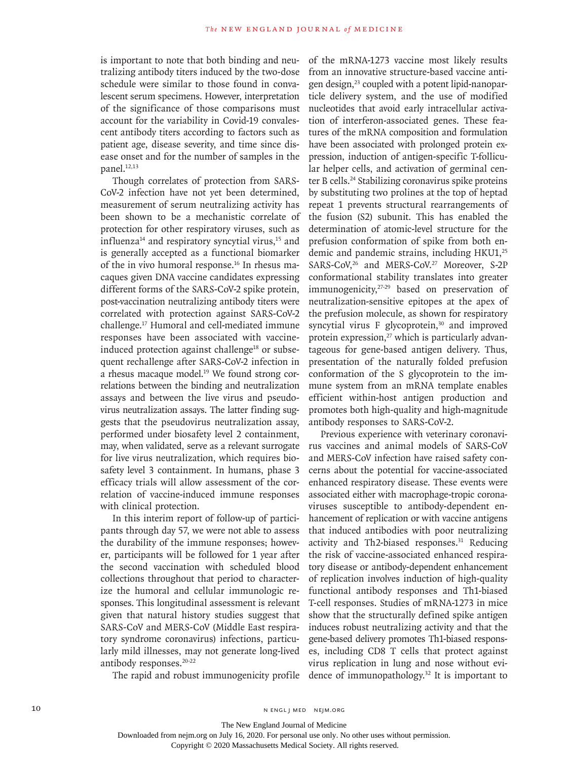is important to note that both binding and neutralizing antibody titers induced by the two-dose schedule were similar to those found in convalescent serum specimens. However, interpretation of the significance of those comparisons must account for the variability in Covid-19 convalescent antibody titers according to factors such as patient age, disease severity, and time since disease onset and for the number of samples in the panel.<sup>12,13</sup>

Though correlates of protection from SARS-CoV-2 infection have not yet been determined, measurement of serum neutralizing activity has been shown to be a mechanistic correlate of protection for other respiratory viruses, such as influenza<sup>14</sup> and respiratory syncytial virus,<sup>15</sup> and is generally accepted as a functional biomarker of the in vivo humoral response.16 In rhesus macaques given DNA vaccine candidates expressing different forms of the SARS-CoV-2 spike protein, post-vaccination neutralizing antibody titers were correlated with protection against SARS-CoV-2 challenge.17 Humoral and cell-mediated immune responses have been associated with vaccineinduced protection against challenge<sup>18</sup> or subsequent rechallenge after SARS-CoV-2 infection in a rhesus macaque model.<sup>19</sup> We found strong correlations between the binding and neutralization assays and between the live virus and pseudovirus neutralization assays. The latter finding suggests that the pseudovirus neutralization assay, performed under biosafety level 2 containment, may, when validated, serve as a relevant surrogate for live virus neutralization, which requires biosafety level 3 containment. In humans, phase 3 efficacy trials will allow assessment of the correlation of vaccine-induced immune responses with clinical protection.

In this interim report of follow-up of participants through day 57, we were not able to assess the durability of the immune responses; however, participants will be followed for 1 year after the second vaccination with scheduled blood collections throughout that period to characterize the humoral and cellular immunologic responses. This longitudinal assessment is relevant given that natural history studies suggest that SARS-CoV and MERS-CoV (Middle East respiratory syndrome coronavirus) infections, particularly mild illnesses, may not generate long-lived antibody responses.<sup>20-22</sup>

The rapid and robust immunogenicity profile

of the mRNA-1273 vaccine most likely results from an innovative structure-based vaccine antigen design,<sup>23</sup> coupled with a potent lipid-nanoparticle delivery system, and the use of modified nucleotides that avoid early intracellular activation of interferon-associated genes. These features of the mRNA composition and formulation have been associated with prolonged protein expression, induction of antigen-specific T-follicular helper cells, and activation of germinal center B cells.<sup>24</sup> Stabilizing coronavirus spike proteins by substituting two prolines at the top of heptad repeat 1 prevents structural rearrangements of the fusion (S2) subunit. This has enabled the determination of atomic-level structure for the prefusion conformation of spike from both endemic and pandemic strains, including HKU1,<sup>25</sup> SARS-CoV,<sup>26</sup> and MERS-CoV.<sup>27</sup> Moreover, S-2P conformational stability translates into greater immunogenicity,<sup>27-29</sup> based on preservation of neutralization-sensitive epitopes at the apex of the prefusion molecule, as shown for respiratory syncytial virus F glycoprotein,<sup>30</sup> and improved protein expression, $27$  which is particularly advantageous for gene-based antigen delivery. Thus, presentation of the naturally folded prefusion conformation of the S glycoprotein to the immune system from an mRNA template enables efficient within-host antigen production and promotes both high-quality and high-magnitude antibody responses to SARS-CoV-2.

Previous experience with veterinary coronavirus vaccines and animal models of SARS-CoV and MERS-CoV infection have raised safety concerns about the potential for vaccine-associated enhanced respiratory disease. These events were associated either with macrophage-tropic coronaviruses susceptible to antibody-dependent enhancement of replication or with vaccine antigens that induced antibodies with poor neutralizing activity and Th2-biased responses.<sup>31</sup> Reducing the risk of vaccine-associated enhanced respiratory disease or antibody-dependent enhancement of replication involves induction of high-quality functional antibody responses and Th1-biased T-cell responses. Studies of mRNA-1273 in mice show that the structurally defined spike antigen induces robust neutralizing activity and that the gene-based delivery promotes Th1-biased responses, including CD8 T cells that protect against virus replication in lung and nose without evidence of immunopathology.32 It is important to

10 N ENGL J MED NEJM.ORG

The New England Journal of Medicine Downloaded from nejm.org on July 16, 2020. For personal use only. No other uses without permission.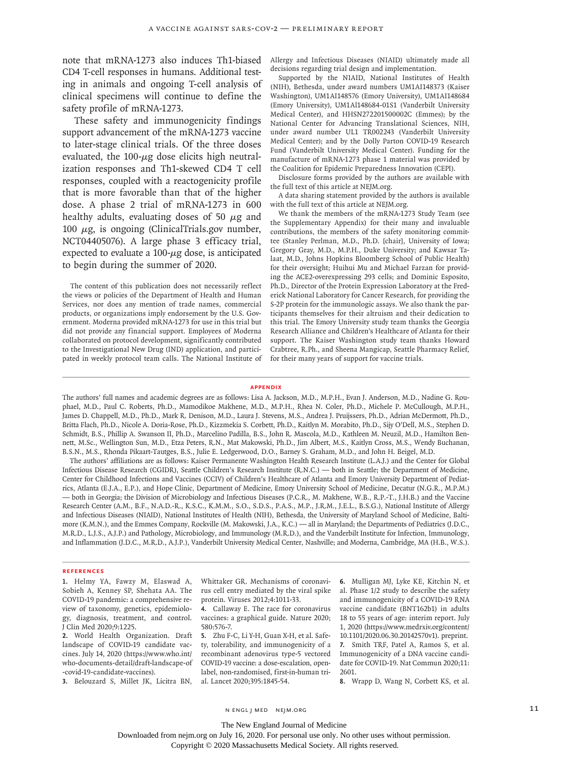note that mRNA-1273 also induces Th1-biased CD4 T-cell responses in humans. Additional testing in animals and ongoing T-cell analysis of clinical specimens will continue to define the safety profile of mRNA-1273.

These safety and immunogenicity findings support advancement of the mRNA-1273 vaccine to later-stage clinical trials. Of the three doses evaluated, the  $100 - \mu$ g dose elicits high neutralization responses and Th1-skewed CD4 T cell responses, coupled with a reactogenicity profile that is more favorable than that of the higher dose. A phase 2 trial of mRNA-1273 in 600 healthy adults, evaluating doses of 50  $\mu$ g and 100  $μ$ g, is ongoing (ClinicalTrials.gov number, NCT04405076). A large phase 3 efficacy trial, expected to evaluate a  $100$ - $\mu$ g dose, is anticipated to begin during the summer of 2020.

The content of this publication does not necessarily reflect the views or policies of the Department of Health and Human Services, nor does any mention of trade names, commercial products, or organizations imply endorsement by the U.S. Government. Moderna provided mRNA-1273 for use in this trial but did not provide any financial support. Employees of Moderna collaborated on protocol development, significantly contributed to the Investigational New Drug (IND) application, and participated in weekly protocol team calls. The National Institute of

Allergy and Infectious Diseases (NIAID) ultimately made all decisions regarding trial design and implementation.

Supported by the NIAID, National Institutes of Health (NIH), Bethesda, under award numbers UM1AI148373 (Kaiser Washington), UM1AI148576 (Emory University), UM1AI148684 (Emory University), UM1Al148684-01S1 (Vanderbilt University Medical Center), and HHSN272201500002C (Emmes); by the National Center for Advancing Translational Sciences, NIH, under award number UL1 TR002243 (Vanderbilt University Medical Center); and by the Dolly Parton COVID-19 Research Fund (Vanderbilt University Medical Center). Funding for the manufacture of mRNA-1273 phase 1 material was provided by the Coalition for Epidemic Preparedness Innovation (CEPI).

Disclosure forms provided by the authors are available with the full text of this article at NEJM.org.

A data sharing statement provided by the authors is available with the full text of this article at NEJM.org.

We thank the members of the mRNA-1273 Study Team (see the Supplementary Appendix) for their many and invaluable contributions, the members of the safety monitoring committee (Stanley Perlman, M.D., Ph.D. [chair], University of Iowa; Gregory Gray, M.D., M.P.H., Duke University; and Kawsar Talaat, M.D., Johns Hopkins Bloomberg School of Public Health) for their oversight; Huihui Mu and Michael Farzan for providing the ACE2-overexpressing 293 cells; and Dominic Esposito, Ph.D., Director of the Protein Expression Laboratory at the Frederick National Laboratory for Cancer Research, for providing the S-2P protein for the immunologic assays. We also thank the participants themselves for their altruism and their dedication to this trial. The Emory University study team thanks the Georgia Research Alliance and Children's Healthcare of Atlanta for their support. The Kaiser Washington study team thanks Howard Crabtree, R.Ph., and Sheena Mangicap, Seattle Pharmacy Relief, for their many years of support for vaccine trials.

#### **Appendix**

The authors' full names and academic degrees are as follows: Lisa A. Jackson, M.D., M.P.H., Evan J. Anderson, M.D., Nadine G. Rouphael, M.D., Paul C. Roberts, Ph.D., Mamodikoe Makhene, M.D., M.P.H., Rhea N. Coler, Ph.D., Michele P. McCullough, M.P.H., James D. Chappell, M.D., Ph.D., Mark R. Denison, M.D., Laura J. Stevens, M.S., Andrea J. Pruijssers, Ph.D., Adrian McDermott, Ph.D., Britta Flach, Ph.D., Nicole A. Doria-Rose, Ph.D., Kizzmekia S. Corbett, Ph.D., Kaitlyn M. Morabito, Ph.D., Sijy O'Dell, M.S., Stephen D. Schmidt, B.S., Phillip A. Swanson II, Ph.D., Marcelino Padilla, B.S., John R. Mascola, M.D., Kathleen M. Neuzil, M.D., Hamilton Bennett, M.Sc., Wellington Sun, M.D., Etza Peters, R.N., Mat Makowski, Ph.D., Jim Albert, M.S., Kaitlyn Cross, M.S., Wendy Buchanan, B.S.N., M.S., Rhonda Pikaart-Tautges, B.S., Julie E. Ledgerwood, D.O., Barney S. Graham, M.D., and John H. Beigel, M.D.

The authors' affiliations are as follows: Kaiser Permanente Washington Health Research Institute (L.A.J.) and the Center for Global Infectious Disease Research (CGIDR), Seattle Children's Research Institute (R.N.C.) — both in Seattle; the Department of Medicine, Center for Childhood Infections and Vaccines (CCIV) of Children's Healthcare of Atlanta and Emory University Department of Pediatrics, Atlanta (E.J.A., E.P.), and Hope Clinic, Department of Medicine, Emory University School of Medicine, Decatur (N.G.R., M.P.M.) — both in Georgia; the Division of Microbiology and Infectious Diseases (P.C.R., M. Makhene, W.B., R.P.-T., J.H.B.) and the Vaccine Research Center (A.M., B.F., N.A.D.-R., K.S.C., K.M.M., S.O., S.D.S., P.A.S., M.P., J.R.M., J.E.L., B.S.G.), National Institute of Allergy and Infectious Diseases (NIAID), National Institutes of Health (NIH), Bethesda, the University of Maryland School of Medicine, Baltimore (K.M.N.), and the Emmes Company, Rockville (M. Makowski, J.A., K.C.) — all in Maryland; the Departments of Pediatrics (J.D.C., M.R.D., L.J.S., A.J.P.) and Pathology, Microbiology, and Immunology (M.R.D.), and the Vanderbilt Institute for Infection, Immunology, and Inflammation (J.D.C., M.R.D., A.J.P.), Vanderbilt University Medical Center, Nashville; and Moderna, Cambridge, MA (H.B., W.S.).

#### **References**

**1.** Helmy YA, Fawzy M, Elaswad A, Sobieh A, Kenney SP, Shehata AA. The COVID-19 pandemic: a comprehensive review of taxonomy, genetics, epidemiology, diagnosis, treatment, and control. J Clin Med 2020;9:1225.

**2.** World Health Organization. Draft landscape of COVID-19 candidate vaccines. July 14, 2020 (https://www.who.int/ who-documents-detail/draft-landscape-of -covid-19-candidate-vaccines).

**3.** Belouzard S, Millet JK, Licitra BN, al. Lancet 2020;395:1845-54.

Whittaker GR. Mechanisms of coronavirus cell entry mediated by the viral spike protein. Viruses 2012;4:1011-33.

**4.** Callaway E. The race for coronavirus vaccines: a graphical guide. Nature 2020; 580:576-7.

**5.** Zhu F-C, Li Y-H, Guan X-H, et al. Safety, tolerability, and immunogenicity of a recombinant adenovirus type-5 vectored COVID-19 vaccine: a dose-escalation, openlabel, non-randomised, first-in-human tri**6.** Mulligan MJ, Lyke KE, Kitchin N, et al. Phase 1/2 study to describe the safety and immunogenicity of a COVID-19 RNA vaccine candidate (BNT162b1) in adults 18 to 55 years of age: interim report. July 1, 2020 (https://www.medrxiv.org/content/ 10.1101/2020.06.30.20142570v1). preprint. **7.** Smith TRF, Patel A, Ramos S, et al. Immunogenicity of a DNA vaccine candidate for COVID-19. Nat Commun 2020;11: 2601.

**8.** Wrapp D, Wang N, Corbett KS, et al.

n engl j med nejm.org 11

The New England Journal of Medicine

Downloaded from nejm.org on July 16, 2020. For personal use only. No other uses without permission.